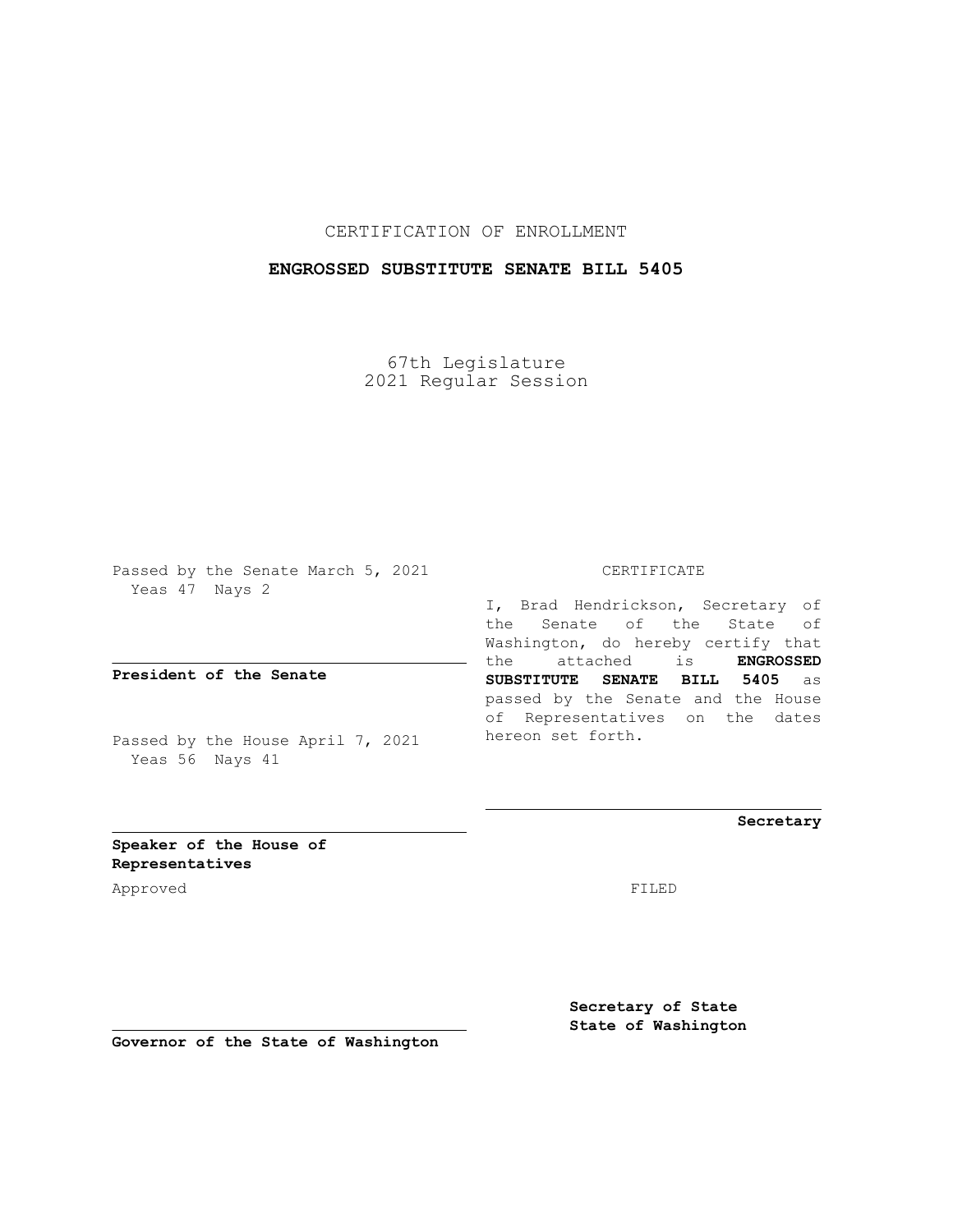## CERTIFICATION OF ENROLLMENT

## **ENGROSSED SUBSTITUTE SENATE BILL 5405**

67th Legislature 2021 Regular Session

Passed by the Senate March 5, 2021 Yeas 47 Nays 2

**President of the Senate**

Passed by the House April 7, 2021 Yeas 56 Nays 41

CERTIFICATE

I, Brad Hendrickson, Secretary of the Senate of the State of Washington, do hereby certify that the attached is **ENGROSSED SUBSTITUTE SENATE BILL 5405** as passed by the Senate and the House of Representatives on the dates hereon set forth.

**Secretary**

**Speaker of the House of Representatives**

Approved FILED

**Secretary of State State of Washington**

**Governor of the State of Washington**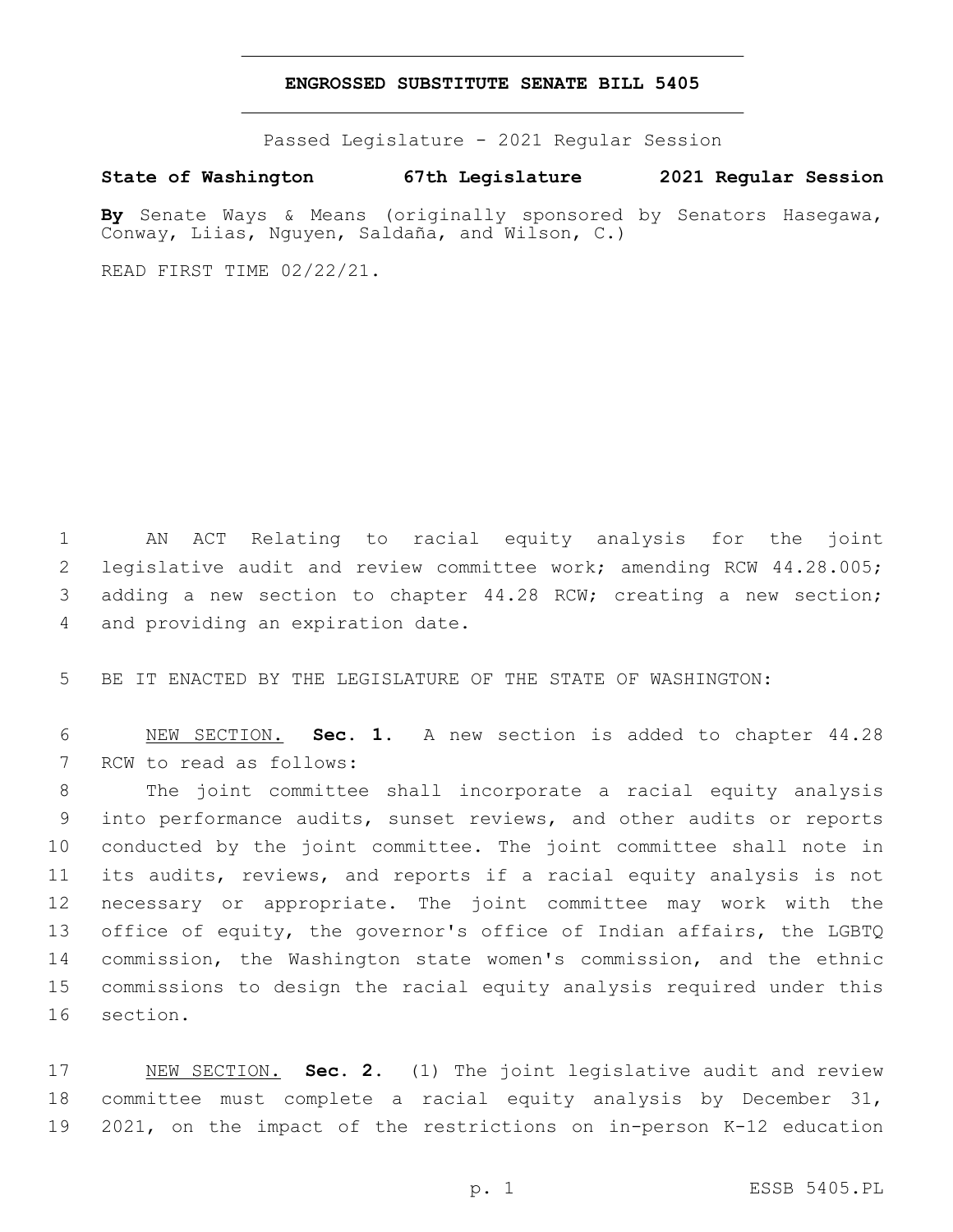## **ENGROSSED SUBSTITUTE SENATE BILL 5405**

Passed Legislature - 2021 Regular Session

**State of Washington 67th Legislature 2021 Regular Session**

**By** Senate Ways & Means (originally sponsored by Senators Hasegawa, Conway, Liias, Nguyen, Saldaña, and Wilson, C.)

READ FIRST TIME 02/22/21.

1 AN ACT Relating to racial equity analysis for the joint 2 legislative audit and review committee work; amending RCW 44.28.005; 3 adding a new section to chapter 44.28 RCW; creating a new section; 4 and providing an expiration date.

5 BE IT ENACTED BY THE LEGISLATURE OF THE STATE OF WASHINGTON:

6 NEW SECTION. **Sec. 1.** A new section is added to chapter 44.28 7 RCW to read as follows:

 The joint committee shall incorporate a racial equity analysis into performance audits, sunset reviews, and other audits or reports conducted by the joint committee. The joint committee shall note in its audits, reviews, and reports if a racial equity analysis is not necessary or appropriate. The joint committee may work with the office of equity, the governor's office of Indian affairs, the LGBTQ commission, the Washington state women's commission, and the ethnic commissions to design the racial equity analysis required under this 16 section.

17 NEW SECTION. **Sec. 2.** (1) The joint legislative audit and review 18 committee must complete a racial equity analysis by December 31, 19 2021, on the impact of the restrictions on in-person K-12 education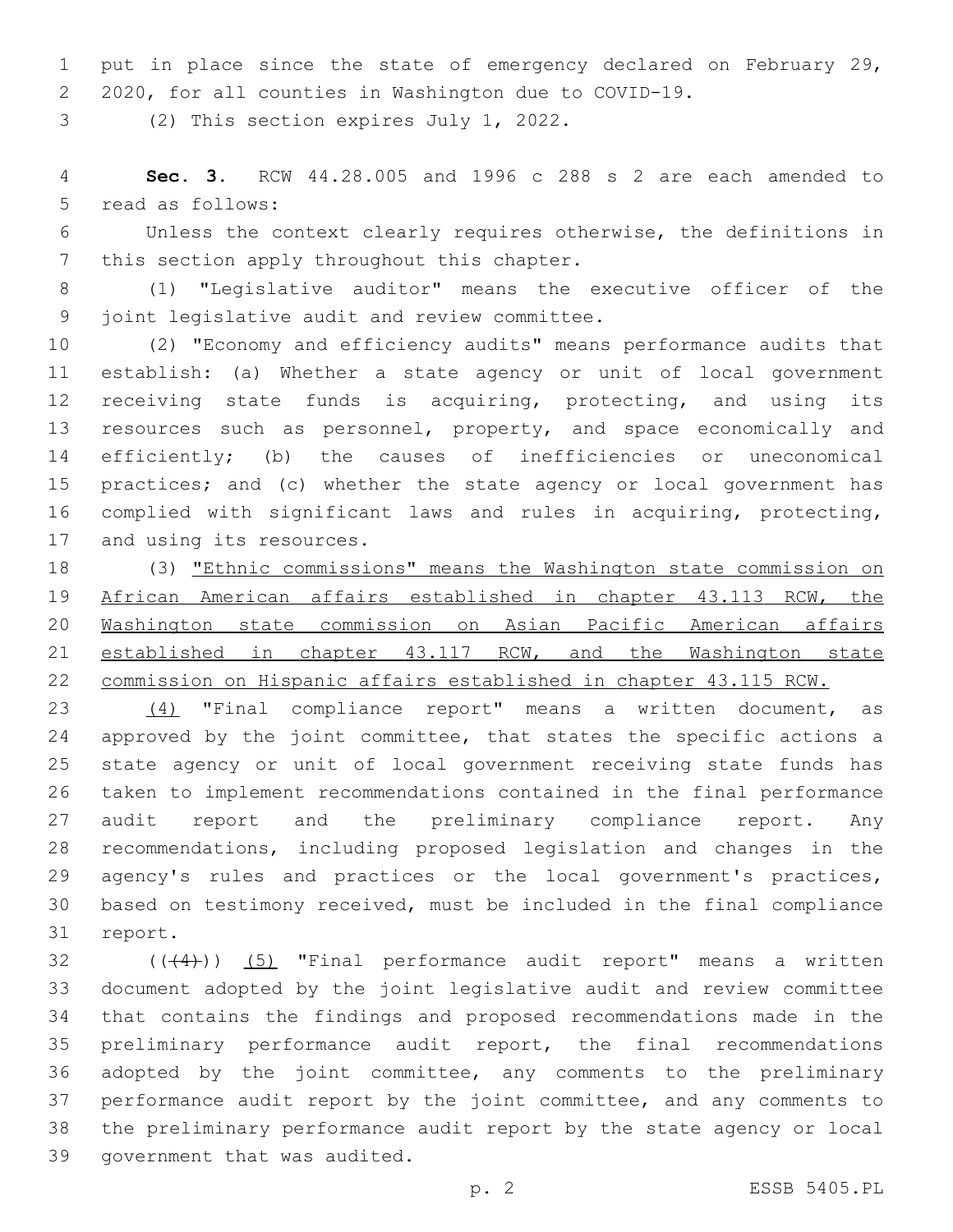1 put in place since the state of emergency declared on February 29, 2020, for all counties in Washington due to COVID-19.

3 (2) This section expires July 1, 2022.

 **Sec. 3.** RCW 44.28.005 and 1996 c 288 s 2 are each amended to 5 read as follows:

 Unless the context clearly requires otherwise, the definitions in 7 this section apply throughout this chapter.

 (1) "Legislative auditor" means the executive officer of the 9 joint legislative audit and review committee.

 (2) "Economy and efficiency audits" means performance audits that establish: (a) Whether a state agency or unit of local government receiving state funds is acquiring, protecting, and using its 13 resources such as personnel, property, and space economically and efficiently; (b) the causes of inefficiencies or uneconomical practices; and (c) whether the state agency or local government has complied with significant laws and rules in acquiring, protecting, 17 and using its resources.

 (3) "Ethnic commissions" means the Washington state commission on African American affairs established in chapter 43.113 RCW, the Washington state commission on Asian Pacific American affairs 21 established in chapter 43.117 RCW, and the Washington state commission on Hispanic affairs established in chapter 43.115 RCW.

 (4) "Final compliance report" means a written document, as 24 approved by the joint committee, that states the specific actions a state agency or unit of local government receiving state funds has taken to implement recommendations contained in the final performance 27 audit report and the preliminary compliance report. Any recommendations, including proposed legislation and changes in the 29 agency's rules and practices or the local government's practices, based on testimony received, must be included in the final compliance 31 report.

 ( $(44)$ )) (5) "Final performance audit report" means a written document adopted by the joint legislative audit and review committee that contains the findings and proposed recommendations made in the preliminary performance audit report, the final recommendations adopted by the joint committee, any comments to the preliminary performance audit report by the joint committee, and any comments to the preliminary performance audit report by the state agency or local 39 government that was audited.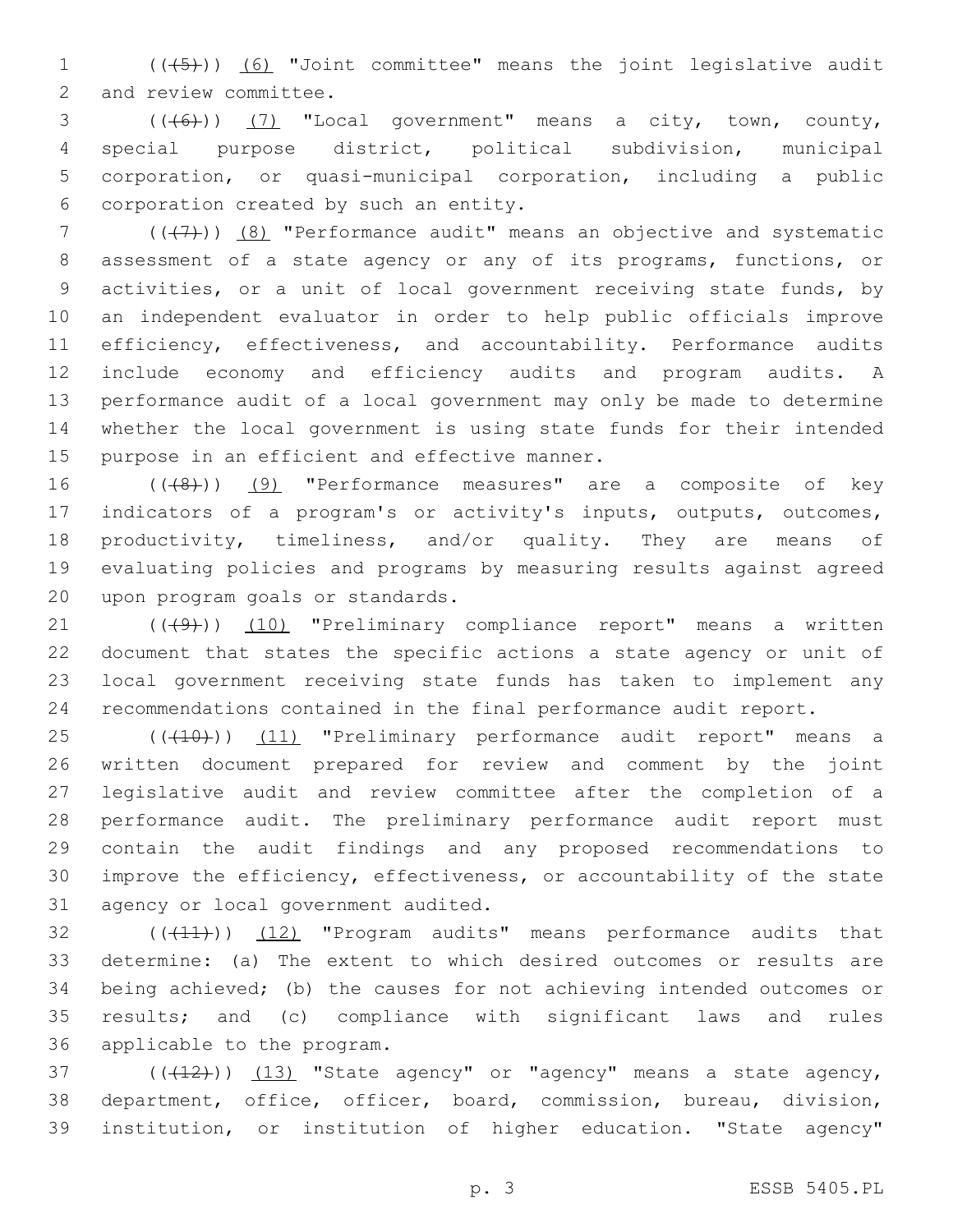1 (((45))) (6) "Joint committee" means the joint legislative audit 2 and review committee.

 ( $(\overline{6})$ ) (7) "Local government" means a city, town, county, special purpose district, political subdivision, municipal corporation, or quasi-municipal corporation, including a public corporation created by such an entity.6

 ( $(\overline{+7})$ ) (8) "Performance audit" means an objective and systematic assessment of a state agency or any of its programs, functions, or activities, or a unit of local government receiving state funds, by an independent evaluator in order to help public officials improve 11 efficiency, effectiveness, and accountability. Performance audits include economy and efficiency audits and program audits. A performance audit of a local government may only be made to determine whether the local government is using state funds for their intended 15 purpose in an efficient and effective manner.

16 (((8)) (9) "Performance measures" are a composite of key indicators of a program's or activity's inputs, outputs, outcomes, 18 productivity, timeliness, and/or quality. They are means of evaluating policies and programs by measuring results against agreed 20 upon program goals or standards.

21 ((+9)) (10) "Preliminary compliance report" means a written document that states the specific actions a state agency or unit of local government receiving state funds has taken to implement any recommendations contained in the final performance audit report.

25 (((10))) (11) "Preliminary performance audit report" means a written document prepared for review and comment by the joint legislative audit and review committee after the completion of a performance audit. The preliminary performance audit report must contain the audit findings and any proposed recommendations to improve the efficiency, effectiveness, or accountability of the state 31 agency or local government audited.

32 (((41))) (12) "Program audits" means performance audits that determine: (a) The extent to which desired outcomes or results are being achieved; (b) the causes for not achieving intended outcomes or results; and (c) compliance with significant laws and rules 36 applicable to the program.

 $(1, 12)$  ( $(1, 13)$  "State agency" or "agency" means a state agency, department, office, officer, board, commission, bureau, division, institution, or institution of higher education. "State agency"